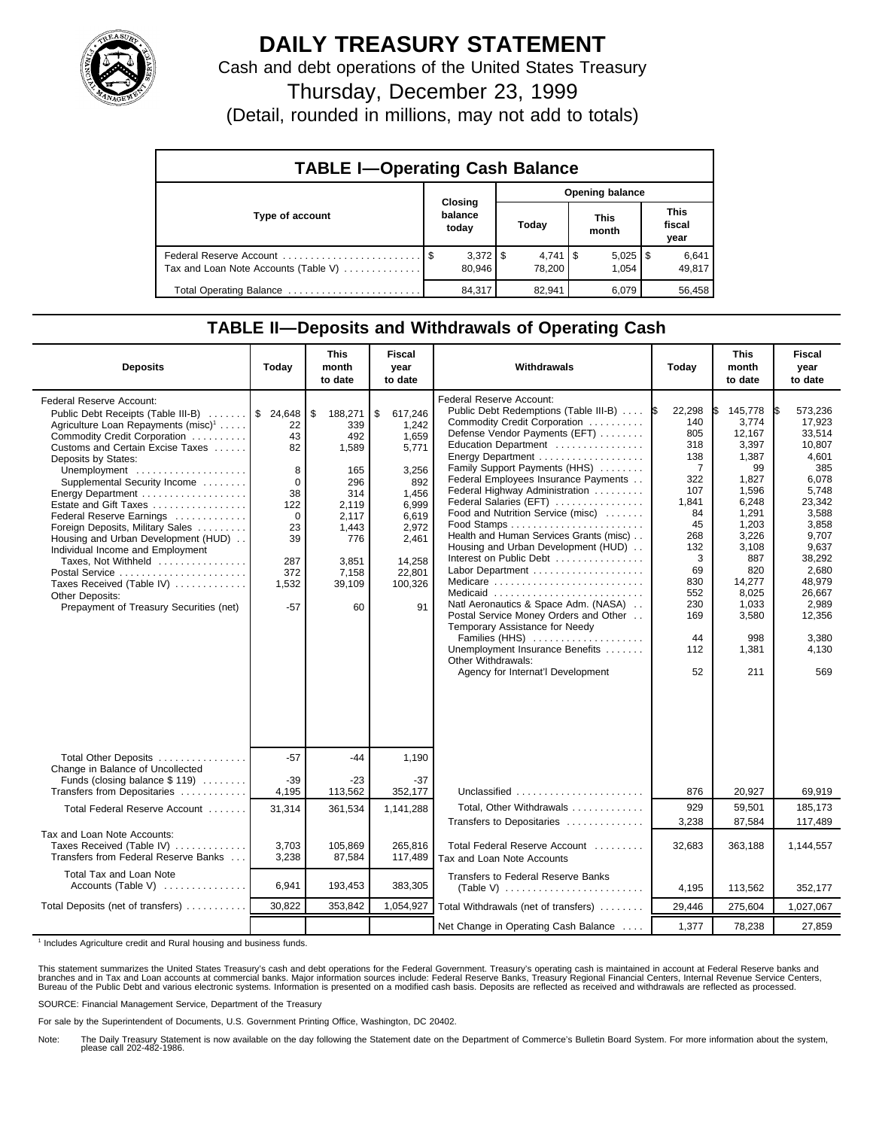

## **DAILY TREASURY STATEMENT**

Cash and debt operations of the United States Treasury

Thursday, December 23, 1999

(Detail, rounded in millions, may not add to totals)

| <b>TABLE I-Operating Cash Balance</b> |  |                                 |                        |                              |  |                       |  |                               |  |
|---------------------------------------|--|---------------------------------|------------------------|------------------------------|--|-----------------------|--|-------------------------------|--|
|                                       |  |                                 | <b>Opening balance</b> |                              |  |                       |  |                               |  |
| Type of account                       |  | Closing<br>balance<br>today     |                        | Today                        |  | <b>This</b><br>month  |  | <b>This</b><br>fiscal<br>year |  |
| Tax and Loan Note Accounts (Table V)  |  | $3,372$ $\frac{1}{3}$<br>80.946 |                        | $4,741$ $\sqrt{5}$<br>78.200 |  | $5,025$   \$<br>1.054 |  | 6,641<br>49,817               |  |
| Total Operating Balance               |  | 84,317                          |                        | 82,941                       |  | 6.079                 |  | 56,458                        |  |

## **TABLE II—Deposits and Withdrawals of Operating Cash**

| <b>Deposits</b>                                                                                                                                                                                                                                                                                                                                                                                                                                                                                                                                             | Today                                                                                                        | <b>This</b><br>month<br>to date                                                                                         | <b>Fiscal</b><br>year<br>to date                                                                                                           | Withdrawals                                                                                                                                                                                                                                                                                                                                                                                                                                                                                                                                                                                                                                                                                                  | Today                                                                                                                                                                  | <b>This</b><br>month<br>to date                                                                                                                                                             | <b>Fiscal</b><br>year<br>to date                                                                                                                                                                                |
|-------------------------------------------------------------------------------------------------------------------------------------------------------------------------------------------------------------------------------------------------------------------------------------------------------------------------------------------------------------------------------------------------------------------------------------------------------------------------------------------------------------------------------------------------------------|--------------------------------------------------------------------------------------------------------------|-------------------------------------------------------------------------------------------------------------------------|--------------------------------------------------------------------------------------------------------------------------------------------|--------------------------------------------------------------------------------------------------------------------------------------------------------------------------------------------------------------------------------------------------------------------------------------------------------------------------------------------------------------------------------------------------------------------------------------------------------------------------------------------------------------------------------------------------------------------------------------------------------------------------------------------------------------------------------------------------------------|------------------------------------------------------------------------------------------------------------------------------------------------------------------------|---------------------------------------------------------------------------------------------------------------------------------------------------------------------------------------------|-----------------------------------------------------------------------------------------------------------------------------------------------------------------------------------------------------------------|
| Federal Reserve Account:<br>Public Debt Receipts (Table III-B)<br>Agriculture Loan Repayments $(misc)^1$<br>Commodity Credit Corporation<br>Customs and Certain Excise Taxes<br>Deposits by States:<br>Unemployment<br>Supplemental Security Income<br>Estate and Gift Taxes<br>Federal Reserve Earnings<br>Foreign Deposits, Military Sales<br>Housing and Urban Development (HUD)<br>Individual Income and Employment<br>Taxes, Not Withheld<br>Postal Service<br>Taxes Received (Table IV)<br>Other Deposits:<br>Prepayment of Treasury Securities (net) | \$24,648<br>22<br>43<br>82<br>8<br>$\mathbf 0$<br>38<br>122<br>0<br>23<br>39<br>287<br>372<br>1,532<br>$-57$ | 188,271<br>339<br>492<br>1,589<br>165<br>296<br>314<br>2,119<br>2,117<br>1,443<br>776<br>3,851<br>7,158<br>39,109<br>60 | \$<br>617.246<br>1.242<br>1,659<br>5,771<br>3,256<br>892<br>1.456<br>6.999<br>6,619<br>2,972<br>2,461<br>14,258<br>22,801<br>100,326<br>91 | Federal Reserve Account:<br>Public Debt Redemptions (Table III-B)<br>Commodity Credit Corporation<br>Defense Vendor Payments (EFT)<br>Education Department<br>Family Support Payments (HHS)<br>Federal Employees Insurance Payments<br>Federal Highway Administration<br>Federal Salaries (EFT)<br>Food and Nutrition Service (misc)<br>Health and Human Services Grants (misc)<br>Housing and Urban Development (HUD)<br>Interest on Public Debt<br>Medicare<br>Medicaid<br>Natl Aeronautics & Space Adm. (NASA)<br>Postal Service Money Orders and Other<br>Temporary Assistance for Needy<br>Families (HHS)<br>Unemployment Insurance Benefits<br>Other Withdrawals:<br>Agency for Internat'l Development | 22,298<br>1\$<br>140<br>805<br>318<br>138<br>$\overline{7}$<br>322<br>107<br>1,841<br>84<br>45<br>268<br>132<br>3<br>69<br>830<br>552<br>230<br>169<br>44<br>112<br>52 | 145,778<br>3,774<br>12.167<br>3,397<br>1,387<br>99<br>1,827<br>1,596<br>6,248<br>1,291<br>1,203<br>3,226<br>3,108<br>887<br>820<br>14,277<br>8,025<br>1,033<br>3,580<br>998<br>1,381<br>211 | 573,236<br>IS.<br>17,923<br>33.514<br>10,807<br>4,601<br>385<br>6.078<br>5,748<br>23,342<br>3,588<br>3,858<br>9,707<br>9,637<br>38,292<br>2.680<br>48,979<br>26,667<br>2.989<br>12,356<br>3,380<br>4,130<br>569 |
| Total Other Deposits                                                                                                                                                                                                                                                                                                                                                                                                                                                                                                                                        | $-57$                                                                                                        | $-44$                                                                                                                   | 1,190                                                                                                                                      |                                                                                                                                                                                                                                                                                                                                                                                                                                                                                                                                                                                                                                                                                                              |                                                                                                                                                                        |                                                                                                                                                                                             |                                                                                                                                                                                                                 |
| Change in Balance of Uncollected<br>Funds (closing balance \$119)<br>Transfers from Depositaries                                                                                                                                                                                                                                                                                                                                                                                                                                                            | $-39$<br>4,195                                                                                               | -23<br>113,562                                                                                                          | $-37$<br>352,177                                                                                                                           | Unclassified                                                                                                                                                                                                                                                                                                                                                                                                                                                                                                                                                                                                                                                                                                 | 876                                                                                                                                                                    | 20,927                                                                                                                                                                                      | 69,919                                                                                                                                                                                                          |
| Total Federal Reserve Account                                                                                                                                                                                                                                                                                                                                                                                                                                                                                                                               | 31,314                                                                                                       | 361,534                                                                                                                 | 1,141,288                                                                                                                                  | Total, Other Withdrawals<br>Transfers to Depositaries                                                                                                                                                                                                                                                                                                                                                                                                                                                                                                                                                                                                                                                        | 929<br>3,238                                                                                                                                                           | 59,501<br>87,584                                                                                                                                                                            | 185,173<br>117,489                                                                                                                                                                                              |
| Tax and Loan Note Accounts:<br>Taxes Received (Table IV)<br>Transfers from Federal Reserve Banks                                                                                                                                                                                                                                                                                                                                                                                                                                                            | 3,703<br>3,238                                                                                               | 105.869<br>87,584                                                                                                       | 265.816<br>117,489                                                                                                                         | Total Federal Reserve Account<br>Tax and Loan Note Accounts                                                                                                                                                                                                                                                                                                                                                                                                                                                                                                                                                                                                                                                  | 32,683                                                                                                                                                                 | 363,188                                                                                                                                                                                     | 1,144,557                                                                                                                                                                                                       |
| Total Tax and Loan Note<br>Accounts (Table V)                                                                                                                                                                                                                                                                                                                                                                                                                                                                                                               | 6,941                                                                                                        | 193,453                                                                                                                 | 383,305                                                                                                                                    | <b>Transfers to Federal Reserve Banks</b>                                                                                                                                                                                                                                                                                                                                                                                                                                                                                                                                                                                                                                                                    | 4,195                                                                                                                                                                  | 113,562                                                                                                                                                                                     | 352,177                                                                                                                                                                                                         |
| Total Deposits (net of transfers)                                                                                                                                                                                                                                                                                                                                                                                                                                                                                                                           | 30,822                                                                                                       | 353,842                                                                                                                 | 1,054,927                                                                                                                                  | Total Withdrawals (net of transfers)                                                                                                                                                                                                                                                                                                                                                                                                                                                                                                                                                                                                                                                                         | 29,446                                                                                                                                                                 | 275,604                                                                                                                                                                                     | 1,027,067                                                                                                                                                                                                       |
|                                                                                                                                                                                                                                                                                                                                                                                                                                                                                                                                                             |                                                                                                              |                                                                                                                         |                                                                                                                                            | Net Change in Operating Cash Balance                                                                                                                                                                                                                                                                                                                                                                                                                                                                                                                                                                                                                                                                         | 1,377                                                                                                                                                                  | 78,238                                                                                                                                                                                      | 27,859                                                                                                                                                                                                          |

<sup>1</sup> Includes Agriculture credit and Rural housing and business funds.

This statement summarizes the United States Treasury's cash and debt operations for the Federal Government. Treasury's operating cash is maintained in account at Federal Reserve banks and<br>branches and in Tax and Loan accou

SOURCE: Financial Management Service, Department of the Treasury

For sale by the Superintendent of Documents, U.S. Government Printing Office, Washington, DC 20402.

Note: The Daily Treasury Statement is now available on the day following the Statement date on the Department of Commerce's Bulletin Board System. For more information about the system, please call 202-482-1986.